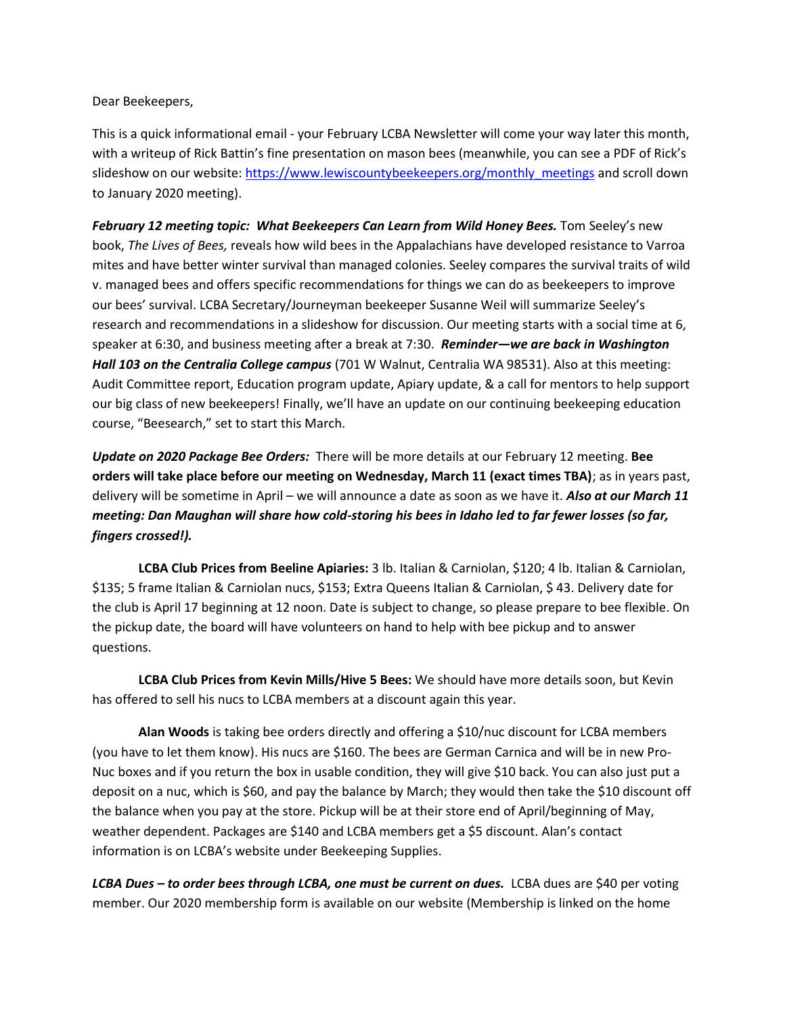Dear Beekeepers,

This is a quick informational email - your February LCBA Newsletter will come your way later this month, with a writeup of Rick Battin's fine presentation on mason bees (meanwhile, you can see a PDF of Rick's slideshow on our website: [https://www.lewiscountybeekeepers.org/monthly\\_meetings](https://www.lewiscountybeekeepers.org/monthly_meetings) and scroll down to January 2020 meeting).

February 12 meeting topic: What Beekeepers Can Learn from Wild Honey Bees. Tom Seeley's new book, *The Lives of Bees,* reveals how wild bees in the Appalachians have developed resistance to Varroa mites and have better winter survival than managed colonies. Seeley compares the survival traits of wild v. managed bees and offers specific recommendations for things we can do as beekeepers to improve our bees' survival. LCBA Secretary/Journeyman beekeeper Susanne Weil will summarize Seeley's research and recommendations in a slideshow for discussion. Our meeting starts with a social time at 6, speaker at 6:30, and business meeting after a break at 7:30. *Reminder—we are back in Washington Hall 103 on the Centralia College campus* (701 W Walnut, Centralia WA 98531). Also at this meeting: Audit Committee report, Education program update, Apiary update, & a call for mentors to help support our big class of new beekeepers! Finally, we'll have an update on our continuing beekeeping education course, "Beesearch," set to start this March.

*Update on 2020 Package Bee Orders:* There will be more details at our February 12 meeting. **Bee orders will take place before our meeting on Wednesday, March 11 (exact times TBA)**; as in years past, delivery will be sometime in April – we will announce a date as soon as we have it. *Also at our March 11 meeting: Dan Maughan will share how cold-storing his bees in Idaho led to far fewer losses (so far, fingers crossed!).*

**LCBA Club Prices from Beeline Apiaries:** 3 lb. Italian & Carniolan, \$120; 4 lb. Italian & Carniolan, \$135; 5 frame Italian & Carniolan nucs, \$153; Extra Queens Italian & Carniolan, \$ 43. Delivery date for the club is April 17 beginning at 12 noon. Date is subject to change, so please prepare to bee flexible. On the pickup date, the board will have volunteers on hand to help with bee pickup and to answer questions.

**LCBA Club Prices from Kevin Mills/Hive 5 Bees:** We should have more details soon, but Kevin has offered to sell his nucs to LCBA members at a discount again this year.

**Alan Woods** is taking bee orders directly and offering a \$10/nuc discount for LCBA members (you have to let them know). His nucs are \$160. The bees are German Carnica and will be in new Pro-Nuc boxes and if you return the box in usable condition, they will give \$10 back. You can also just put a deposit on a nuc, which is \$60, and pay the balance by March; they would then take the \$10 discount off the balance when you pay at the store. Pickup will be at their store end of April/beginning of May, weather dependent. Packages are \$140 and LCBA members get a \$5 discount. Alan's contact information is on LCBA's website under Beekeeping Supplies.

*LCBA Dues – to order bees through LCBA, one must be current on dues.*LCBA dues are \$40 per voting member. Our 2020 membership form is available on our website (Membership is linked on the home